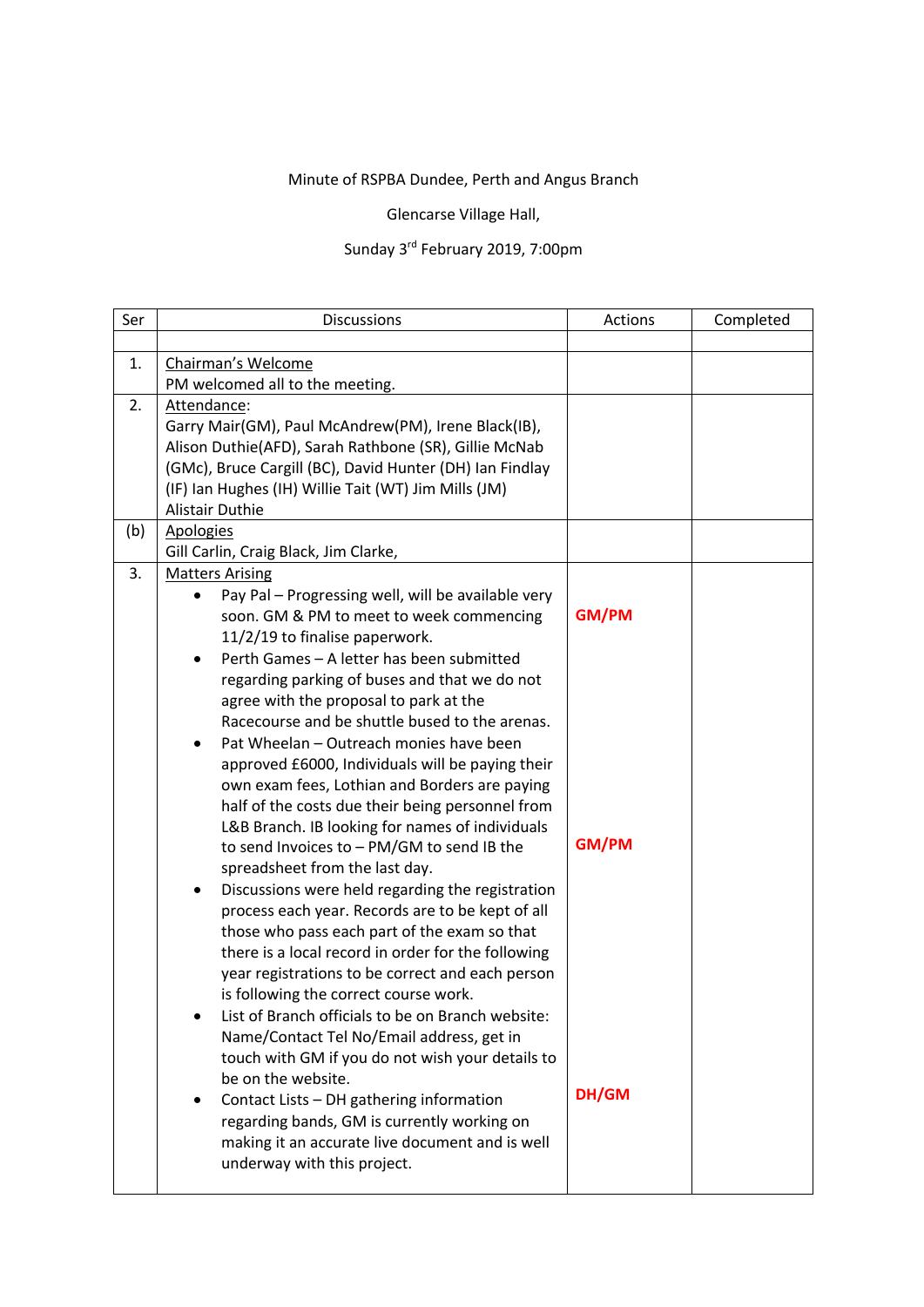## Minute of RSPBA Dundee, Perth and Angus Branch

Glencarse Village Hall,

## Sunday 3rd February 2019, 7:00pm

| Ser | <b>Discussions</b>                                       | Actions      | Completed |
|-----|----------------------------------------------------------|--------------|-----------|
|     |                                                          |              |           |
| 1.  | Chairman's Welcome                                       |              |           |
|     | PM welcomed all to the meeting.                          |              |           |
| 2.  | Attendance:                                              |              |           |
|     | Garry Mair(GM), Paul McAndrew(PM), Irene Black(IB),      |              |           |
|     | Alison Duthie(AFD), Sarah Rathbone (SR), Gillie McNab    |              |           |
|     | (GMc), Bruce Cargill (BC), David Hunter (DH) Ian Findlay |              |           |
|     | (IF) Ian Hughes (IH) Willie Tait (WT) Jim Mills (JM)     |              |           |
|     | <b>Alistair Duthie</b>                                   |              |           |
| (b) | <b>Apologies</b>                                         |              |           |
|     | Gill Carlin, Craig Black, Jim Clarke,                    |              |           |
| 3.  | <b>Matters Arising</b>                                   |              |           |
|     | Pay Pal - Progressing well, will be available very       |              |           |
|     | soon. GM & PM to meet to week commencing                 | <b>GM/PM</b> |           |
|     | 11/2/19 to finalise paperwork.                           |              |           |
|     | Perth Games - A letter has been submitted<br>$\bullet$   |              |           |
|     | regarding parking of buses and that we do not            |              |           |
|     | agree with the proposal to park at the                   |              |           |
|     | Racecourse and be shuttle bused to the arenas.           |              |           |
|     | Pat Wheelan - Outreach monies have been<br>$\bullet$     |              |           |
|     | approved £6000, Individuals will be paying their         |              |           |
|     | own exam fees, Lothian and Borders are paying            |              |           |
|     | half of the costs due their being personnel from         |              |           |
|     | L&B Branch. IB looking for names of individuals          |              |           |
|     | to send Invoices to - PM/GM to send IB the               | <b>GM/PM</b> |           |
|     | spreadsheet from the last day.                           |              |           |
|     | Discussions were held regarding the registration<br>٠    |              |           |
|     | process each year. Records are to be kept of all         |              |           |
|     | those who pass each part of the exam so that             |              |           |
|     | there is a local record in order for the following       |              |           |
|     | year registrations to be correct and each person         |              |           |
|     | is following the correct course work.                    |              |           |
|     | List of Branch officials to be on Branch website:        |              |           |
|     | Name/Contact Tel No/Email address, get in                |              |           |
|     | touch with GM if you do not wish your details to         |              |           |
|     | be on the website.                                       |              |           |
|     | Contact Lists - DH gathering information                 | DH/GM        |           |
|     | regarding bands, GM is currently working on              |              |           |
|     | making it an accurate live document and is well          |              |           |
|     | underway with this project.                              |              |           |
|     |                                                          |              |           |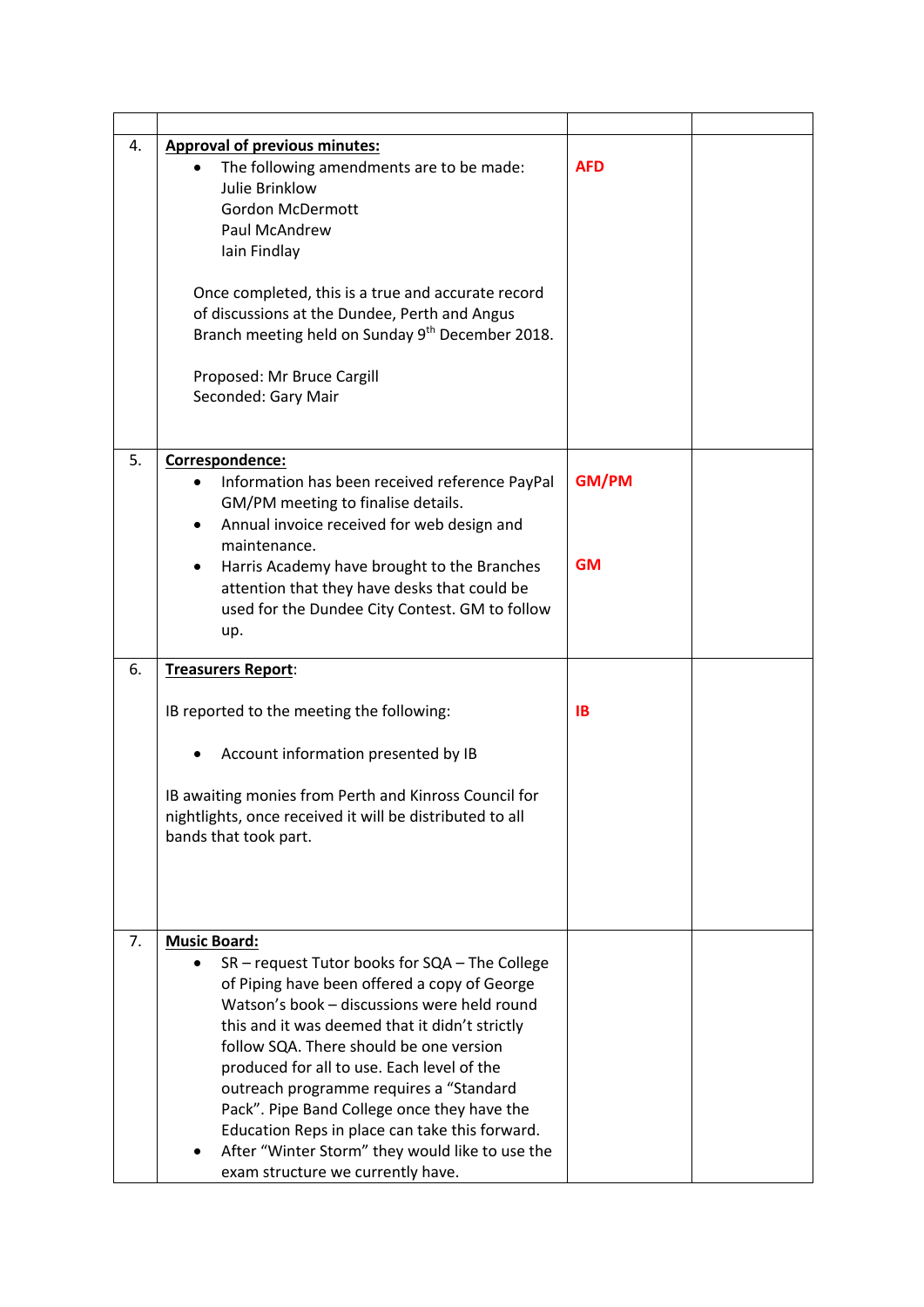| 4. | <b>Approval of previous minutes:</b><br>The following amendments are to be made:<br>Julie Brinklow<br><b>Gordon McDermott</b><br>Paul McAndrew<br>Iain Findlay<br>Once completed, this is a true and accurate record<br>of discussions at the Dundee, Perth and Angus<br>Branch meeting held on Sunday 9 <sup>th</sup> December 2018.<br>Proposed: Mr Bruce Cargill<br>Seconded: Gary Mair                                                                                                                                                          | <b>AFD</b>                |  |
|----|-----------------------------------------------------------------------------------------------------------------------------------------------------------------------------------------------------------------------------------------------------------------------------------------------------------------------------------------------------------------------------------------------------------------------------------------------------------------------------------------------------------------------------------------------------|---------------------------|--|
| 5. | Correspondence:<br>Information has been received reference PayPal<br>GM/PM meeting to finalise details.<br>Annual invoice received for web design and<br>٠<br>maintenance.<br>Harris Academy have brought to the Branches<br>٠<br>attention that they have desks that could be<br>used for the Dundee City Contest. GM to follow<br>up.                                                                                                                                                                                                             | <b>GM/PM</b><br><b>GM</b> |  |
| 6. | Treasurers Report:<br>IB reported to the meeting the following:<br>Account information presented by IB<br>IB awaiting monies from Perth and Kinross Council for<br>nightlights, once received it will be distributed to all<br>bands that took part.                                                                                                                                                                                                                                                                                                | <b>IB</b>                 |  |
| 7. | <b>Music Board:</b><br>SR - request Tutor books for SQA - The College<br>of Piping have been offered a copy of George<br>Watson's book - discussions were held round<br>this and it was deemed that it didn't strictly<br>follow SQA. There should be one version<br>produced for all to use. Each level of the<br>outreach programme requires a "Standard<br>Pack". Pipe Band College once they have the<br>Education Reps in place can take this forward.<br>After "Winter Storm" they would like to use the<br>exam structure we currently have. |                           |  |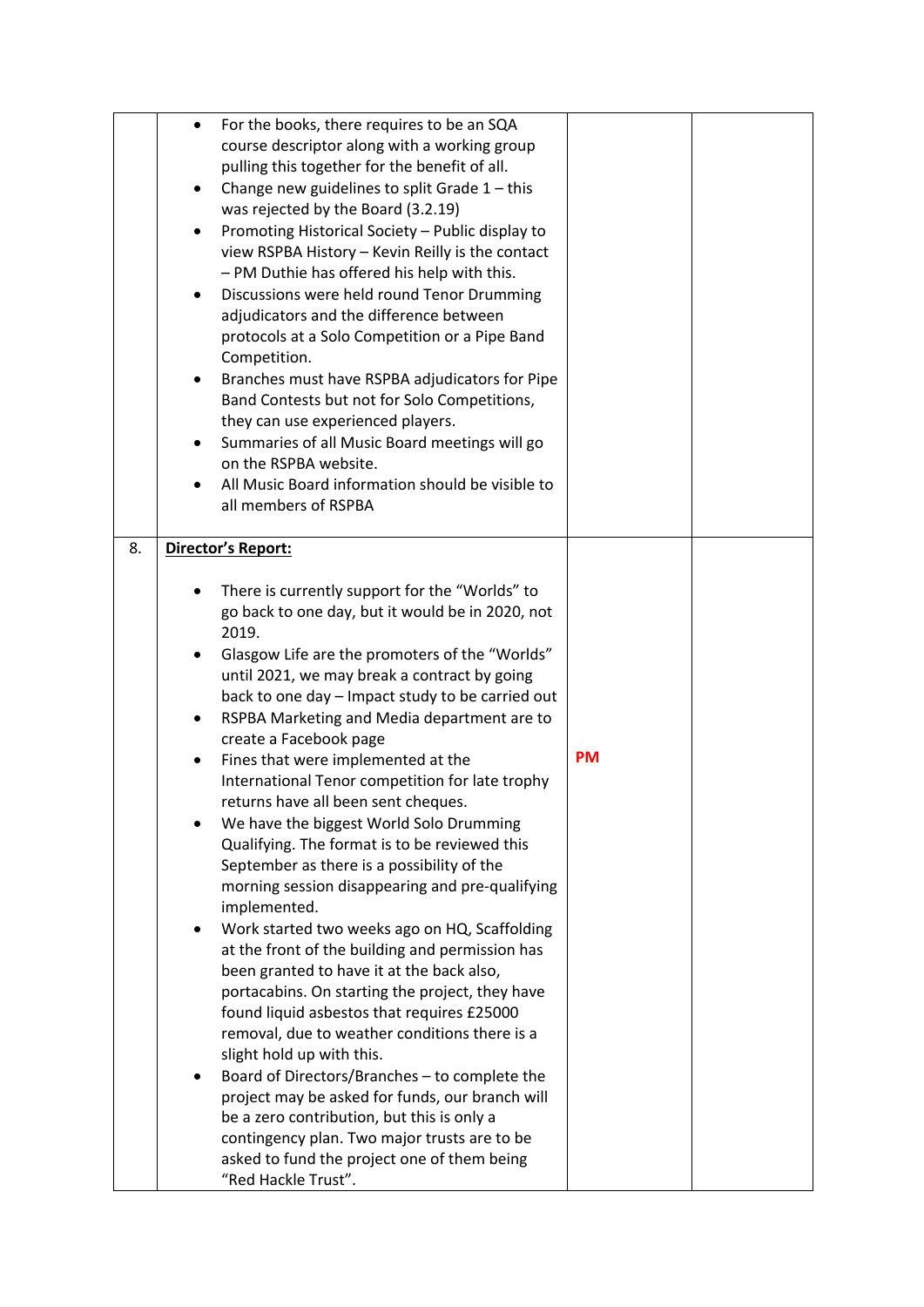|    | ٠<br>$\bullet$      | For the books, there requires to be an SQA<br>course descriptor along with a working group<br>pulling this together for the benefit of all.<br>Change new guidelines to split Grade $1$ – this<br>was rejected by the Board (3.2.19)<br>Promoting Historical Society - Public display to<br>view RSPBA History - Kevin Reilly is the contact<br>- PM Duthie has offered his help with this.<br>Discussions were held round Tenor Drumming<br>adjudicators and the difference between<br>protocols at a Solo Competition or a Pipe Band<br>Competition.<br>Branches must have RSPBA adjudicators for Pipe<br>Band Contests but not for Solo Competitions,<br>they can use experienced players.<br>Summaries of all Music Board meetings will go<br>on the RSPBA website.<br>All Music Board information should be visible to<br>all members of RSPBA                                                                                                                                                                                                                                                                                                                                                                                                                                                                   |           |  |
|----|---------------------|-----------------------------------------------------------------------------------------------------------------------------------------------------------------------------------------------------------------------------------------------------------------------------------------------------------------------------------------------------------------------------------------------------------------------------------------------------------------------------------------------------------------------------------------------------------------------------------------------------------------------------------------------------------------------------------------------------------------------------------------------------------------------------------------------------------------------------------------------------------------------------------------------------------------------------------------------------------------------------------------------------------------------------------------------------------------------------------------------------------------------------------------------------------------------------------------------------------------------------------------------------------------------------------------------------------------------|-----------|--|
| 8. | ٠<br>$\bullet$<br>٠ | Director's Report:<br>There is currently support for the "Worlds" to<br>go back to one day, but it would be in 2020, not<br>2019.<br>Glasgow Life are the promoters of the "Worlds"<br>until 2021, we may break a contract by going<br>back to one day - Impact study to be carried out<br>RSPBA Marketing and Media department are to<br>create a Facebook page<br>Fines that were implemented at the<br>International Tenor competition for late trophy<br>returns have all been sent cheques.<br>We have the biggest World Solo Drumming<br>Qualifying. The format is to be reviewed this<br>September as there is a possibility of the<br>morning session disappearing and pre-qualifying<br>implemented.<br>Work started two weeks ago on HQ, Scaffolding<br>at the front of the building and permission has<br>been granted to have it at the back also,<br>portacabins. On starting the project, they have<br>found liquid asbestos that requires £25000<br>removal, due to weather conditions there is a<br>slight hold up with this.<br>Board of Directors/Branches - to complete the<br>project may be asked for funds, our branch will<br>be a zero contribution, but this is only a<br>contingency plan. Two major trusts are to be<br>asked to fund the project one of them being<br>"Red Hackle Trust". | <b>PM</b> |  |